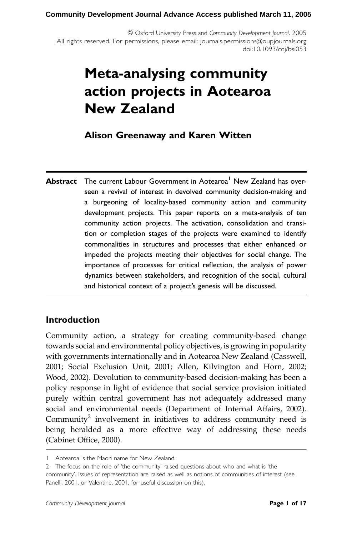#### **Community Development Journal Advance Access published March 11, 2005**

*&* Oxford University Press and Community Development Journal. 2005 All rights reserved. For permissions, please email: journals.permissions@oupjournals.org doi:10.1093/cdj/bsi053

# Meta-analysing community action projects in Aotearoa New Zealand

Alison Greenaway and Karen Witten

Abstract The current Labour Government in Aotearoa<sup>1</sup> New Zealand has overseen a revival of interest in devolved community decision-making and a burgeoning of locality-based community action and community development projects. This paper reports on a meta-analysis of ten community action projects. The activation, consolidation and transition or completion stages of the projects were examined to identify commonalities in structures and processes that either enhanced or impeded the projects meeting their objectives for social change. The importance of processes for critical reflection, the analysis of power dynamics between stakeholders, and recognition of the social, cultural and historical context of a project's genesis will be discussed.

## Introduction

Community action, a strategy for creating community-based change towards social and environmental policy objectives, is growing in popularity with governments internationally and in Aotearoa New Zealand (Casswell, 2001; Social Exclusion Unit, 2001; Allen, Kilvington and Horn, 2002; Wood, 2002). Devolution to community-based decision-making has been a policy response in light of evidence that social service provision initiated purely within central government has not adequately addressed many social and environmental needs (Department of Internal Affairs, 2002). Community<sup>2</sup> involvement in initiatives to address community need is being heralded as a more effective way of addressing these needs (Cabinet Office, 2000).

<sup>1</sup> Aotearoa is the Maori name for New Zealand.

<sup>2</sup> The focus on the role of 'the community' raised questions about who and what is 'the community'. Issues of representation are raised as well as notions of communities of interest (see Panelli, 2001, or Valentine, 2001, for useful discussion on this).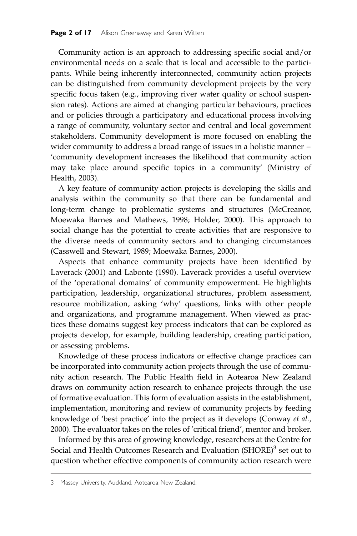Community action is an approach to addressing specific social and/or environmental needs on a scale that is local and accessible to the participants. While being inherently interconnected, community action projects can be distinguished from community development projects by the very specific focus taken (e.g., improving river water quality or school suspension rates). Actions are aimed at changing particular behaviours, practices and or policies through a participatory and educational process involving a range of community, voluntary sector and central and local government stakeholders. Community development is more focused on enabling the wider community to address a broad range of issues in a holistic manner – 'community development increases the likelihood that community action may take place around specific topics in a community' (Ministry of Health, 2003).

A key feature of community action projects is developing the skills and analysis within the community so that there can be fundamental and long-term change to problematic systems and structures (McCreanor, Moewaka Barnes and Mathews, 1998; Holder, 2000). This approach to social change has the potential to create activities that are responsive to the diverse needs of community sectors and to changing circumstances (Casswell and Stewart, 1989; Moewaka Barnes, 2000).

Aspects that enhance community projects have been identified by Laverack (2001) and Labonte (1990). Laverack provides a useful overview of the 'operational domains' of community empowerment. He highlights participation, leadership, organizational structures, problem assessment, resource mobilization, asking 'why' questions, links with other people and organizations, and programme management. When viewed as practices these domains suggest key process indicators that can be explored as projects develop, for example, building leadership, creating participation, or assessing problems.

Knowledge of these process indicators or effective change practices can be incorporated into community action projects through the use of community action research. The Public Health field in Aotearoa New Zealand draws on community action research to enhance projects through the use of formative evaluation. This form of evaluation assists in the establishment, implementation, monitoring and review of community projects by feeding knowledge of 'best practice' into the project as it develops (Conway et al., 2000). The evaluator takes on the roles of 'critical friend', mentor and broker.

Informed by this area of growing knowledge, researchers at the Centre for Social and Health Outcomes Research and Evaluation  $(SHORE)^3$  set out to question whether effective components of community action research were

<sup>3</sup> Massey University, Auckland, Aotearoa New Zealand.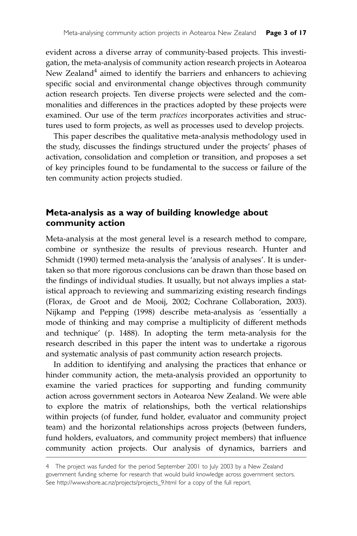evident across a diverse array of community-based projects. This investigation, the meta-analysis of community action research projects in Aotearoa New Zealand<sup>4</sup> aimed to identify the barriers and enhancers to achieving specific social and environmental change objectives through community action research projects. Ten diverse projects were selected and the commonalities and differences in the practices adopted by these projects were examined. Our use of the term practices incorporates activities and structures used to form projects, as well as processes used to develop projects.

This paper describes the qualitative meta-analysis methodology used in the study, discusses the findings structured under the projects' phases of activation, consolidation and completion or transition, and proposes a set of key principles found to be fundamental to the success or failure of the ten community action projects studied.

# Meta-analysis as a way of building knowledge about community action

Meta-analysis at the most general level is a research method to compare, combine or synthesize the results of previous research. Hunter and Schmidt (1990) termed meta-analysis the 'analysis of analyses'. It is undertaken so that more rigorous conclusions can be drawn than those based on the findings of individual studies. It usually, but not always implies a statistical approach to reviewing and summarizing existing research findings (Florax, de Groot and de Mooij, 2002; Cochrane Collaboration, 2003). Nijkamp and Pepping (1998) describe meta-analysis as 'essentially a mode of thinking and may comprise a multiplicity of different methods and technique' (p. 1488). In adopting the term meta-analysis for the research described in this paper the intent was to undertake a rigorous and systematic analysis of past community action research projects.

In addition to identifying and analysing the practices that enhance or hinder community action, the meta-analysis provided an opportunity to examine the varied practices for supporting and funding community action across government sectors in Aotearoa New Zealand. We were able to explore the matrix of relationships, both the vertical relationships within projects (of funder, fund holder, evaluator and community project team) and the horizontal relationships across projects (between funders, fund holders, evaluators, and community project members) that influence community action projects. Our analysis of dynamics, barriers and

<sup>4</sup> The project was funded for the period September 2001 to July 2003 by a New Zealand government funding scheme for research that would build knowledge across government sectors. See http://www.shore.ac.nz/projects/projects\_9.html for a copy of the full report.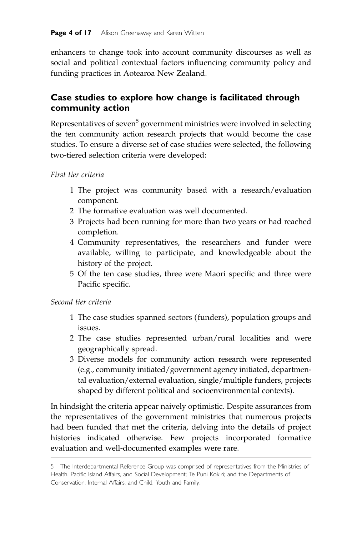enhancers to change took into account community discourses as well as social and political contextual factors influencing community policy and funding practices in Aotearoa New Zealand.

# Case studies to explore how change is facilitated through community action

Representatives of seven<sup>5</sup> government ministries were involved in selecting the ten community action research projects that would become the case studies. To ensure a diverse set of case studies were selected, the following two-tiered selection criteria were developed:

#### First tier criteria

- 1 The project was community based with a research/evaluation component.
- 2 The formative evaluation was well documented.
- 3 Projects had been running for more than two years or had reached completion.
- 4 Community representatives, the researchers and funder were available, willing to participate, and knowledgeable about the history of the project.
- 5 Of the ten case studies, three were Maori specific and three were Pacific specific.

#### Second tier criteria

- 1 The case studies spanned sectors ( funders), population groups and issues.
- 2 The case studies represented urban/rural localities and were geographically spread.
- 3 Diverse models for community action research were represented (e.g., community initiated/government agency initiated, departmental evaluation/external evaluation, single/multiple funders, projects shaped by different political and socioenvironmental contexts).

In hindsight the criteria appear naively optimistic. Despite assurances from the representatives of the government ministries that numerous projects had been funded that met the criteria, delving into the details of project histories indicated otherwise. Few projects incorporated formative evaluation and well-documented examples were rare.

<sup>5</sup> The Interdepartmental Reference Group was comprised of representatives from the Ministries of Health, Pacific Island Affairs, and Social Development; Te Puni Kokiri; and the Departments of Conservation, Internal Affairs, and Child, Youth and Family.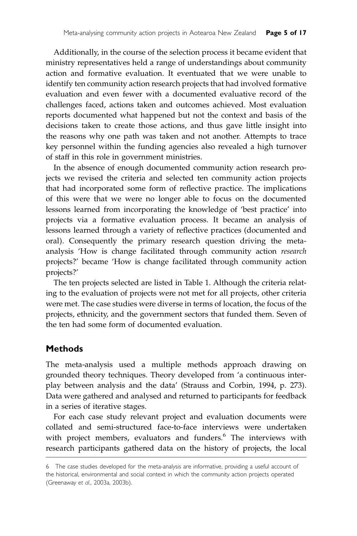Additionally, in the course of the selection process it became evident that ministry representatives held a range of understandings about community action and formative evaluation. It eventuated that we were unable to identify ten community action research projects that had involved formative evaluation and even fewer with a documented evaluative record of the challenges faced, actions taken and outcomes achieved. Most evaluation reports documented what happened but not the context and basis of the decisions taken to create those actions, and thus gave little insight into the reasons why one path was taken and not another. Attempts to trace key personnel within the funding agencies also revealed a high turnover of staff in this role in government ministries.

In the absence of enough documented community action research projects we revised the criteria and selected ten community action projects that had incorporated some form of reflective practice. The implications of this were that we were no longer able to focus on the documented lessons learned from incorporating the knowledge of 'best practice' into projects via a formative evaluation process. It became an analysis of lessons learned through a variety of reflective practices (documented and oral). Consequently the primary research question driving the metaanalysis 'How is change facilitated through community action research projects?' became 'How is change facilitated through community action projects?'

The ten projects selected are listed in Table 1. Although the criteria relating to the evaluation of projects were not met for all projects, other criteria were met. The case studies were diverse in terms of location, the focus of the projects, ethnicity, and the government sectors that funded them. Seven of the ten had some form of documented evaluation.

### Methods

The meta-analysis used a multiple methods approach drawing on grounded theory techniques. Theory developed from 'a continuous interplay between analysis and the data' (Strauss and Corbin, 1994, p. 273). Data were gathered and analysed and returned to participants for feedback in a series of iterative stages.

For each case study relevant project and evaluation documents were collated and semi-structured face-to-face interviews were undertaken with project members, evaluators and funders.<sup>6</sup> The interviews with research participants gathered data on the history of projects, the local

<sup>6</sup> The case studies developed for the meta-analysis are informative, providing a useful account of the historical, environmental and social context in which the community action projects operated (Greenaway et al., 2003a, 2003b).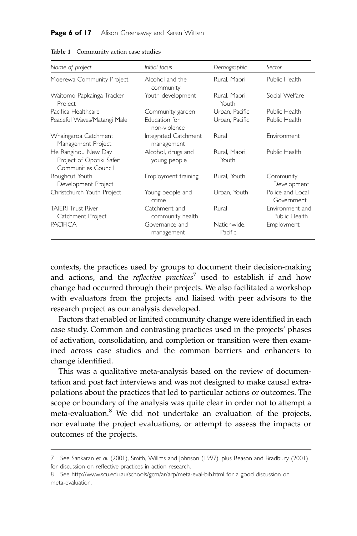| Name of project                                                        | Initial focus                        | Demographic            | Sector                           |
|------------------------------------------------------------------------|--------------------------------------|------------------------|----------------------------------|
| Moerewa Community Project                                              | Alcohol and the<br>community         | Rural, Maori           | Public Health                    |
| Waitomo Papkainga Tracker<br>Project                                   | Youth development                    | Rural, Maori,<br>Youth | Social Welfare                   |
| Pacifica Healthcare                                                    | Community garden                     | Urban, Pacific         | Public Health                    |
| Peaceful Waves/Matangi Male                                            | <b>Education</b> for<br>non-violence | Urban, Pacific         | Public Health                    |
| Whaingaroa Catchment<br>Management Project                             | Integrated Catchment<br>management   | Rural                  | Fnvironment                      |
| He Rangihou New Day<br>Project of Opotiki Safer<br>Communities Council | Alcohol, drugs and<br>young people   | Rural, Maori,<br>Youth | Public Health                    |
| Roughcut Youth<br>Development Project                                  | Employment training                  | Rural, Youth           | Community<br>Development         |
| Christchurch Youth Project                                             | Young people and<br><i>crime.</i>    | Urban, Youth           | Police and Local<br>Government   |
| <b>TAIFRI Trust River</b><br>Catchment Project                         | Catchment and<br>community health    | Rural                  | Environment and<br>Public Health |
| <b>PACIFICA</b>                                                        | Governance and<br>management         | Nationwide,<br>Pacific | Employment                       |

| Table 1<br>Community action case studies |  |
|------------------------------------------|--|
|------------------------------------------|--|

contexts, the practices used by groups to document their decision-making and actions, and the reflective practices<sup>7</sup> used to establish if and how change had occurred through their projects. We also facilitated a workshop with evaluators from the projects and liaised with peer advisors to the research project as our analysis developed.

Factors that enabled or limited community change were identified in each case study. Common and contrasting practices used in the projects' phases of activation, consolidation, and completion or transition were then examined across case studies and the common barriers and enhancers to change identified.

This was a qualitative meta-analysis based on the review of documentation and post fact interviews and was not designed to make causal extrapolations about the practices that led to particular actions or outcomes. The scope or boundary of the analysis was quite clear in order not to attempt a meta-evaluation.<sup>8</sup> We did not undertake an evaluation of the projects, nor evaluate the project evaluations, or attempt to assess the impacts or outcomes of the projects.

<sup>7</sup> See Sankaran et al. (2001), Smith, Willms and Johnson (1997), plus Reason and Bradbury (2001) for discussion on reflective practices in action research.

<sup>8</sup> See http://www.scu.edu.au/schools/gcm/ar/arp/meta-eval-bib.html for a good discussion on meta-evaluation.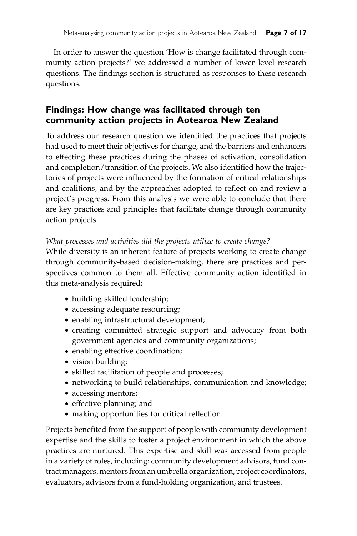In order to answer the question 'How is change facilitated through community action projects?' we addressed a number of lower level research questions. The findings section is structured as responses to these research questions.

# Findings: How change was facilitated through ten community action projects in Aotearoa New Zealand

To address our research question we identified the practices that projects had used to meet their objectives for change, and the barriers and enhancers to effecting these practices during the phases of activation, consolidation and completion/transition of the projects. We also identified how the trajectories of projects were influenced by the formation of critical relationships and coalitions, and by the approaches adopted to reflect on and review a project's progress. From this analysis we were able to conclude that there are key practices and principles that facilitate change through community action projects.

#### What processes and activities did the projects utilize to create change?

While diversity is an inherent feature of projects working to create change through community-based decision-making, there are practices and perspectives common to them all. Effective community action identified in this meta-analysis required:

- . building skilled leadership;
- . accessing adequate resourcing;
- enabling infrastructural development;
- . creating committed strategic support and advocacy from both government agencies and community organizations;
- . enabling effective coordination;
- vision building;
- . skilled facilitation of people and processes;
- . networking to build relationships, communication and knowledge;
- . accessing mentors;
- . effective planning; and
- . making opportunities for critical reflection.

Projects benefited from the support of people with community development expertise and the skills to foster a project environment in which the above practices are nurtured. This expertise and skill was accessed from people in a variety of roles, including: community development advisors, fund contractmanagers, mentors from an umbrella organization, project coordinators, evaluators, advisors from a fund-holding organization, and trustees.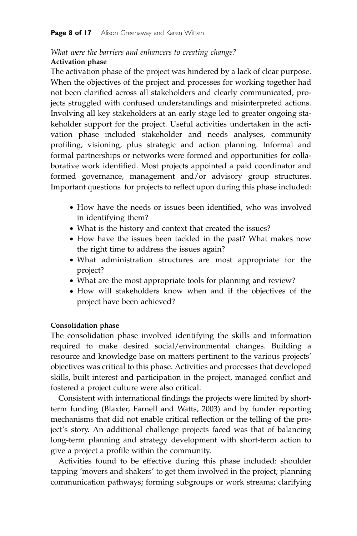## What were the barriers and enhancers to creating change? Activation phase

The activation phase of the project was hindered by a lack of clear purpose. When the objectives of the project and processes for working together had not been clarified across all stakeholders and clearly communicated, projects struggled with confused understandings and misinterpreted actions. Involving all key stakeholders at an early stage led to greater ongoing stakeholder support for the project. Useful activities undertaken in the activation phase included stakeholder and needs analyses, community profiling, visioning, plus strategic and action planning. Informal and formal partnerships or networks were formed and opportunities for collaborative work identified. Most projects appointed a paid coordinator and formed governance, management and/or advisory group structures. Important questions for projects to reflect upon during this phase included:

- . How have the needs or issues been identified, who was involved in identifying them?
- . What is the history and context that created the issues?
- . How have the issues been tackled in the past? What makes now the right time to address the issues again?
- . What administration structures are most appropriate for the project?
- . What are the most appropriate tools for planning and review?
- . How will stakeholders know when and if the objectives of the project have been achieved?

## Consolidation phase

The consolidation phase involved identifying the skills and information required to make desired social/environmental changes. Building a resource and knowledge base on matters pertinent to the various projects' objectives was critical to this phase. Activities and processes that developed skills, built interest and participation in the project, managed conflict and fostered a project culture were also critical.

Consistent with international findings the projects were limited by shortterm funding (Blaxter, Farnell and Watts, 2003) and by funder reporting mechanisms that did not enable critical reflection or the telling of the project's story. An additional challenge projects faced was that of balancing long-term planning and strategy development with short-term action to give a project a profile within the community.

Activities found to be effective during this phase included: shoulder tapping 'movers and shakers' to get them involved in the project; planning communication pathways; forming subgroups or work streams; clarifying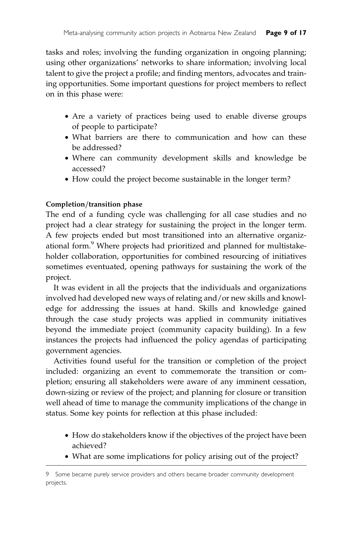tasks and roles; involving the funding organization in ongoing planning; using other organizations' networks to share information; involving local talent to give the project a profile; and finding mentors, advocates and training opportunities. Some important questions for project members to reflect on in this phase were:

- . Are a variety of practices being used to enable diverse groups of people to participate?
- . What barriers are there to communication and how can these be addressed?
- . Where can community development skills and knowledge be accessed?
- . How could the project become sustainable in the longer term?

#### Completion*/*transition phase

The end of a funding cycle was challenging for all case studies and no project had a clear strategy for sustaining the project in the longer term. A few projects ended but most transitioned into an alternative organizational form.<sup>9</sup> Where projects had prioritized and planned for multistakeholder collaboration, opportunities for combined resourcing of initiatives sometimes eventuated, opening pathways for sustaining the work of the project.

It was evident in all the projects that the individuals and organizations involved had developed new ways of relating and/or new skills and knowledge for addressing the issues at hand. Skills and knowledge gained through the case study projects was applied in community initiatives beyond the immediate project (community capacity building). In a few instances the projects had influenced the policy agendas of participating government agencies.

Activities found useful for the transition or completion of the project included: organizing an event to commemorate the transition or completion; ensuring all stakeholders were aware of any imminent cessation, down-sizing or review of the project; and planning for closure or transition well ahead of time to manage the community implications of the change in status. Some key points for reflection at this phase included:

- . How do stakeholders know if the objectives of the project have been achieved?
- . What are some implications for policy arising out of the project?

<sup>9</sup> Some became purely service providers and others became broader community development projects.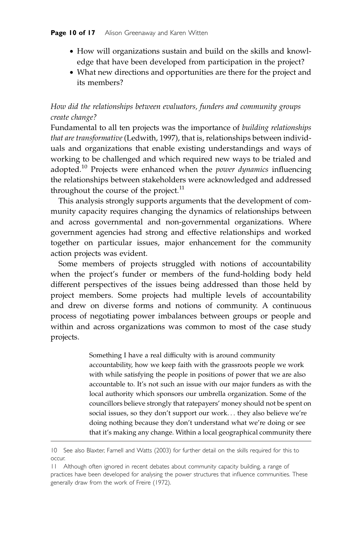- . How will organizations sustain and build on the skills and knowledge that have been developed from participation in the project?
- . What new directions and opportunities are there for the project and its members?

## How did the relationships between evaluators, funders and community groups create change?

Fundamental to all ten projects was the importance of building relationships that are transformative (Ledwith, 1997), that is, relationships between individuals and organizations that enable existing understandings and ways of working to be challenged and which required new ways to be trialed and adopted.<sup>10</sup> Projects were enhanced when the *power dynamics* influencing the relationships between stakeholders were acknowledged and addressed throughout the course of the project. $<sup>11</sup>$ </sup>

This analysis strongly supports arguments that the development of community capacity requires changing the dynamics of relationships between and across governmental and non-governmental organizations. Where government agencies had strong and effective relationships and worked together on particular issues, major enhancement for the community action projects was evident.

Some members of projects struggled with notions of accountability when the project's funder or members of the fund-holding body held different perspectives of the issues being addressed than those held by project members. Some projects had multiple levels of accountability and drew on diverse forms and notions of community. A continuous process of negotiating power imbalances between groups or people and within and across organizations was common to most of the case study projects.

> Something I have a real difficulty with is around community accountability, how we keep faith with the grassroots people we work with while satisfying the people in positions of power that we are also accountable to. It's not such an issue with our major funders as with the local authority which sponsors our umbrella organization. Some of the councillors believe strongly that ratepayers' money should not be spent on social issues, so they don't support our work... they also believe we're doing nothing because they don't understand what we're doing or see that it's making any change. Within a local geographical community there

<sup>10</sup> See also Blaxter, Farnell and Watts (2003) for further detail on the skills required for this to occur.

<sup>11</sup> Although often ignored in recent debates about community capacity building, a range of practices have been developed for analysing the power structures that influence communities. These generally draw from the work of Freire (1972).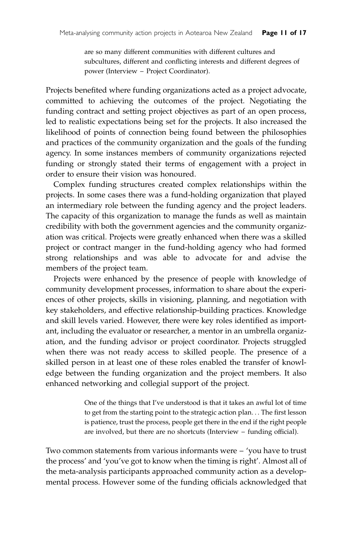are so many different communities with different cultures and subcultures, different and conflicting interests and different degrees of power (Interview – Project Coordinator).

Projects benefited where funding organizations acted as a project advocate, committed to achieving the outcomes of the project. Negotiating the funding contract and setting project objectives as part of an open process, led to realistic expectations being set for the projects. It also increased the likelihood of points of connection being found between the philosophies and practices of the community organization and the goals of the funding agency. In some instances members of community organizations rejected funding or strongly stated their terms of engagement with a project in order to ensure their vision was honoured.

Complex funding structures created complex relationships within the projects. In some cases there was a fund-holding organization that played an intermediary role between the funding agency and the project leaders. The capacity of this organization to manage the funds as well as maintain credibility with both the government agencies and the community organization was critical. Projects were greatly enhanced when there was a skilled project or contract manger in the fund-holding agency who had formed strong relationships and was able to advocate for and advise the members of the project team.

Projects were enhanced by the presence of people with knowledge of community development processes, information to share about the experiences of other projects, skills in visioning, planning, and negotiation with key stakeholders, and effective relationship-building practices. Knowledge and skill levels varied. However, there were key roles identified as important, including the evaluator or researcher, a mentor in an umbrella organization, and the funding advisor or project coordinator. Projects struggled when there was not ready access to skilled people. The presence of a skilled person in at least one of these roles enabled the transfer of knowledge between the funding organization and the project members. It also enhanced networking and collegial support of the project.

> One of the things that I've understood is that it takes an awful lot of time to get from the starting point to the strategic action plan... The first lesson is patience, trust the process, people get there in the end if the right people are involved, but there are no shortcuts (Interview – funding official).

Two common statements from various informants were – 'you have to trust the process' and 'you've got to know when the timing is right'. Almost all of the meta-analysis participants approached community action as a developmental process. However some of the funding officials acknowledged that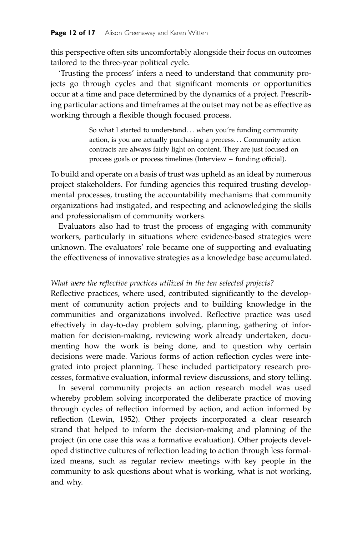this perspective often sits uncomfortably alongside their focus on outcomes tailored to the three-year political cycle.

'Trusting the process' infers a need to understand that community projects go through cycles and that significant moments or opportunities occur at a time and pace determined by the dynamics of a project. Prescribing particular actions and timeframes at the outset may not be as effective as working through a flexible though focused process.

> So what I started to understand... when you're funding community action, is you are actually purchasing a process... Community action contracts are always fairly light on content. They are just focused on process goals or process timelines (Interview – funding official).

To build and operate on a basis of trust was upheld as an ideal by numerous project stakeholders. For funding agencies this required trusting developmental processes, trusting the accountability mechanisms that community organizations had instigated, and respecting and acknowledging the skills and professionalism of community workers.

Evaluators also had to trust the process of engaging with community workers, particularly in situations where evidence-based strategies were unknown. The evaluators' role became one of supporting and evaluating the effectiveness of innovative strategies as a knowledge base accumulated.

#### What were the reflective practices utilized in the ten selected projects?

Reflective practices, where used, contributed significantly to the development of community action projects and to building knowledge in the communities and organizations involved. Reflective practice was used effectively in day-to-day problem solving, planning, gathering of information for decision-making, reviewing work already undertaken, documenting how the work is being done, and to question why certain decisions were made. Various forms of action reflection cycles were integrated into project planning. These included participatory research processes, formative evaluation, informal review discussions, and story telling.

In several community projects an action research model was used whereby problem solving incorporated the deliberate practice of moving through cycles of reflection informed by action, and action informed by reflection (Lewin, 1952). Other projects incorporated a clear research strand that helped to inform the decision-making and planning of the project (in one case this was a formative evaluation). Other projects developed distinctive cultures of reflection leading to action through less formalized means, such as regular review meetings with key people in the community to ask questions about what is working, what is not working, and why.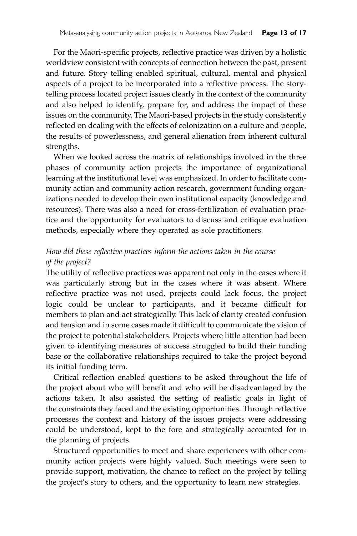For the Maori-specific projects, reflective practice was driven by a holistic worldview consistent with concepts of connection between the past, present and future. Story telling enabled spiritual, cultural, mental and physical aspects of a project to be incorporated into a reflective process. The storytelling process located project issues clearly in the context of the community and also helped to identify, prepare for, and address the impact of these issues on the community. The Maori-based projects in the study consistently reflected on dealing with the effects of colonization on a culture and people, the results of powerlessness, and general alienation from inherent cultural strengths.

When we looked across the matrix of relationships involved in the three phases of community action projects the importance of organizational learning at the institutional level was emphasized. In order to facilitate community action and community action research, government funding organizations needed to develop their own institutional capacity (knowledge and resources). There was also a need for cross-fertilization of evaluation practice and the opportunity for evaluators to discuss and critique evaluation methods, especially where they operated as sole practitioners.

## How did these reflective practices inform the actions taken in the course of the project?

The utility of reflective practices was apparent not only in the cases where it was particularly strong but in the cases where it was absent. Where reflective practice was not used, projects could lack focus, the project logic could be unclear to participants, and it became difficult for members to plan and act strategically. This lack of clarity created confusion and tension and in some cases made it difficult to communicate the vision of the project to potential stakeholders. Projects where little attention had been given to identifying measures of success struggled to build their funding base or the collaborative relationships required to take the project beyond its initial funding term.

Critical reflection enabled questions to be asked throughout the life of the project about who will benefit and who will be disadvantaged by the actions taken. It also assisted the setting of realistic goals in light of the constraints they faced and the existing opportunities. Through reflective processes the context and history of the issues projects were addressing could be understood, kept to the fore and strategically accounted for in the planning of projects.

Structured opportunities to meet and share experiences with other community action projects were highly valued. Such meetings were seen to provide support, motivation, the chance to reflect on the project by telling the project's story to others, and the opportunity to learn new strategies.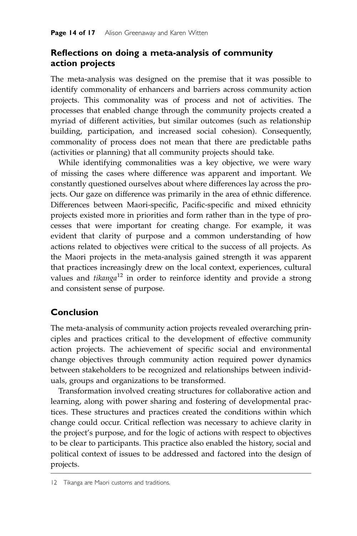# Reflections on doing a meta-analysis of community action projects

The meta-analysis was designed on the premise that it was possible to identify commonality of enhancers and barriers across community action projects. This commonality was of process and not of activities. The processes that enabled change through the community projects created a myriad of different activities, but similar outcomes (such as relationship building, participation, and increased social cohesion). Consequently, commonality of process does not mean that there are predictable paths (activities or planning) that all community projects should take.

While identifying commonalities was a key objective, we were wary of missing the cases where difference was apparent and important. We constantly questioned ourselves about where differences lay across the projects. Our gaze on difference was primarily in the area of ethnic difference. Differences between Maori-specific, Pacific-specific and mixed ethnicity projects existed more in priorities and form rather than in the type of processes that were important for creating change. For example, it was evident that clarity of purpose and a common understanding of how actions related to objectives were critical to the success of all projects. As the Maori projects in the meta-analysis gained strength it was apparent that practices increasingly drew on the local context, experiences, cultural values and *tikanga*<sup>12</sup> in order to reinforce identity and provide a strong and consistent sense of purpose.

# Conclusion

The meta-analysis of community action projects revealed overarching principles and practices critical to the development of effective community action projects. The achievement of specific social and environmental change objectives through community action required power dynamics between stakeholders to be recognized and relationships between individuals, groups and organizations to be transformed.

Transformation involved creating structures for collaborative action and learning, along with power sharing and fostering of developmental practices. These structures and practices created the conditions within which change could occur. Critical reflection was necessary to achieve clarity in the project's purpose, and for the logic of actions with respect to objectives to be clear to participants. This practice also enabled the history, social and political context of issues to be addressed and factored into the design of projects.

<sup>12</sup> Tikanga are Maori customs and traditions.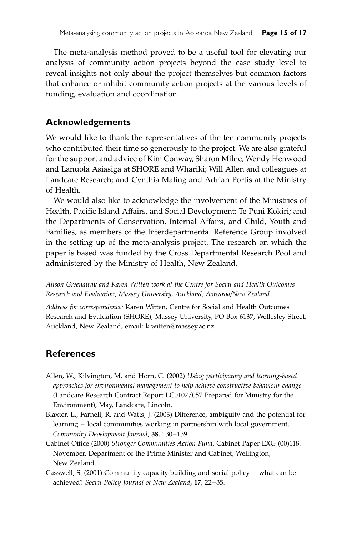The meta-analysis method proved to be a useful tool for elevating our analysis of community action projects beyond the case study level to reveal insights not only about the project themselves but common factors that enhance or inhibit community action projects at the various levels of funding, evaluation and coordination.

### Acknowledgements

We would like to thank the representatives of the ten community projects who contributed their time so generously to the project. We are also grateful for the support and advice of Kim Conway, Sharon Milne, Wendy Henwood and Lanuola Asiasiga at SHORE and Whariki; Will Allen and colleagues at Landcare Research; and Cynthia Maling and Adrian Portis at the Ministry of Health.

We would also like to acknowledge the involvement of the Ministries of Health, Pacific Island Affairs, and Social Development; Te Puni Kōkiri; and the Departments of Conservation, Internal Affairs, and Child, Youth and Families, as members of the Interdepartmental Reference Group involved in the setting up of the meta-analysis project. The research on which the paper is based was funded by the Cross Departmental Research Pool and administered by the Ministry of Health, New Zealand.

Alison Greenaway and Karen Witten work at the Centre for Social and Health Outcomes Research and Evaluation, Massey University, Auckland, Aotearoa/New Zealand.

Address for correspondence: Karen Witten, Centre for Social and Health Outcomes Research and Evaluation (SHORE), Massey University, PO Box 6137, Wellesley Street, Auckland, New Zealand; email: k.witten@massey.ac.nz

## References

- Allen, W., Kilvington, M. and Horn, C. (2002) Using participatory and learning-based approaches for environmental management to help achieve constructive behaviour change (Landcare Research Contract Report LC0102/057 Prepared for Ministry for the Environment), May, Landcare, Lincoln.
- Blaxter, L., Farnell, R. and Watts, J. (2003) Difference, ambiguity and the potential for learning – local communities working in partnership with local government, Community Development Journal, 38, 130-139.
- Cabinet Office (2000) Stronger Communities Action Fund, Cabinet Paper EXG (00)118. November, Department of the Prime Minister and Cabinet, Wellington, New Zealand.
- Casswell, S. (2001) Community capacity building and social policy what can be achieved? Social Policy Journal of New Zealand, 17, 22-35.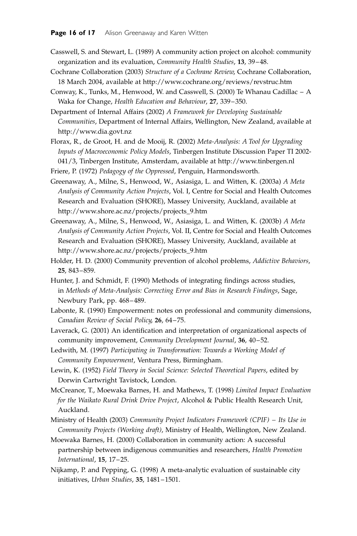- Casswell, S. and Stewart, L. (1989) A community action project on alcohol: community organization and its evaluation, Community Health Studies, 13, 39 –48.
- Cochrane Collaboration (2003) Structure of a Cochrane Review, Cochrane Collaboration, 18 March 2004, available at http://www.cochrane.org/reviews/revstruc.htm
- Conway, K., Tunks, M., Henwood, W. and Casswell, S. (2000) Te Whanau Cadillac A Waka for Change, Health Education and Behaviour, 27, 339 –350.
- Department of Internal Affairs (2002) A Framework for Developing Sustainable Communities, Department of Internal Affairs, Wellington, New Zealand, available at http://www.dia.govt.nz
- Florax, R., de Groot, H. and de Mooij, R. (2002) Meta-Analysis: A Tool for Upgrading Inputs of Macroeconomic Policy Models, Tinbergen Institute Discussion Paper TI 2002- 041/3, Tinbergen Institute, Amsterdam, available at http://www.tinbergen.nl
- Friere, P. (1972) Pedagogy of the Oppressed, Penguin, Harmondsworth.
- Greenaway, A., Milne, S., Henwood, W., Asiasiga, L. and Witten, K. (2003a) A Meta Analysis of Community Action Projects, Vol. I, Centre for Social and Health Outcomes Research and Evaluation (SHORE), Massey University, Auckland, available at http://www.shore.ac.nz/projects/projects\_9.htm
- Greenaway, A., Milne, S., Henwood, W., Asiasiga, L. and Witten, K. (2003b) A Meta Analysis of Community Action Projects, Vol. II, Centre for Social and Health Outcomes Research and Evaluation (SHORE), Massey University, Auckland, available at http://www.shore.ac.nz/projects/projects\_9.htm
- Holder, H. D. (2000) Community prevention of alcohol problems, Addictive Behaviors, 25, 843 –859.
- Hunter, J. and Schmidt, F. (1990) Methods of integrating findings across studies, in Methods of Meta-Analysis: Correcting Error and Bias in Research Findings, Sage, Newbury Park, pp. 468-489.
- Labonte, R. (1990) Empowerment: notes on professional and community dimensions, Canadian Review of Social Policy, 26, 64-75.
- Laverack, G. (2001) An identification and interpretation of organizational aspects of community improvement, Community Development Journal, 36, 40-52.
- Ledwith, M. (1997) Participating in Transformation: Towards a Working Model of Community Empowerment, Ventura Press, Birmingham.
- Lewin, K. (1952) Field Theory in Social Science: Selected Theoretical Papers, edited by Dorwin Cartwright Tavistock, London.
- McCreanor, T., Moewaka Barnes, H. and Mathews, T. (1998) Limited Impact Evaluation for the Waikato Rural Drink Drive Project, Alcohol & Public Health Research Unit, Auckland.
- Ministry of Health (2003) Community Project Indicators Framework (CPIF) Its Use in Community Projects (Working draft), Ministry of Health, Wellington, New Zealand.
- Moewaka Barnes, H. (2000) Collaboration in community action: A successful partnership between indigenous communities and researchers, Health Promotion International, 15, 17 –25.
- Nijkamp, P. and Pepping, G. (1998) A meta-analytic evaluation of sustainable city initiatives, Urban Studies, 35, 1481 –1501.